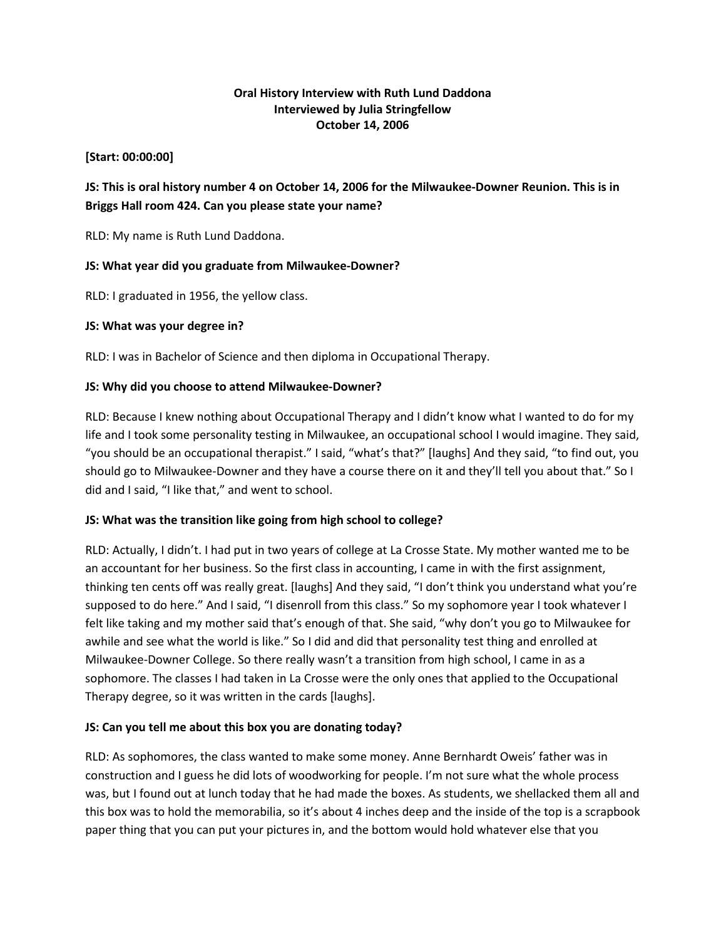### **Oral History Interview with Ruth Lund Daddona Interviewed by Julia Stringfellow October 14, 2006**

#### **[Start: 00:00:00]**

# **JS: This is oral history number 4 on October 14, 2006 for the Milwaukee-Downer Reunion. This is in Briggs Hall room 424. Can you please state your name?**

RLD: My name is Ruth Lund Daddona.

## **JS: What year did you graduate from Milwaukee-Downer?**

RLD: I graduated in 1956, the yellow class.

### **JS: What was your degree in?**

RLD: I was in Bachelor of Science and then diploma in Occupational Therapy.

### **JS: Why did you choose to attend Milwaukee-Downer?**

RLD: Because I knew nothing about Occupational Therapy and I didn't know what I wanted to do for my life and I took some personality testing in Milwaukee, an occupational school I would imagine. They said, "you should be an occupational therapist." I said, "what's that?" [laughs] And they said, "to find out, you should go to Milwaukee-Downer and they have a course there on it and they'll tell you about that." So I did and I said, "I like that," and went to school.

#### **JS: What was the transition like going from high school to college?**

RLD: Actually, I didn't. I had put in two years of college at La Crosse State. My mother wanted me to be an accountant for her business. So the first class in accounting, I came in with the first assignment, thinking ten cents off was really great. [laughs] And they said, "I don't think you understand what you're supposed to do here." And I said, "I disenroll from this class." So my sophomore year I took whatever I felt like taking and my mother said that's enough of that. She said, "why don't you go to Milwaukee for awhile and see what the world is like." So I did and did that personality test thing and enrolled at Milwaukee-Downer College. So there really wasn't a transition from high school, I came in as a sophomore. The classes I had taken in La Crosse were the only ones that applied to the Occupational Therapy degree, so it was written in the cards [laughs].

## **JS: Can you tell me about this box you are donating today?**

RLD: As sophomores, the class wanted to make some money. Anne Bernhardt Oweis' father was in construction and I guess he did lots of woodworking for people. I'm not sure what the whole process was, but I found out at lunch today that he had made the boxes. As students, we shellacked them all and this box was to hold the memorabilia, so it's about 4 inches deep and the inside of the top is a scrapbook paper thing that you can put your pictures in, and the bottom would hold whatever else that you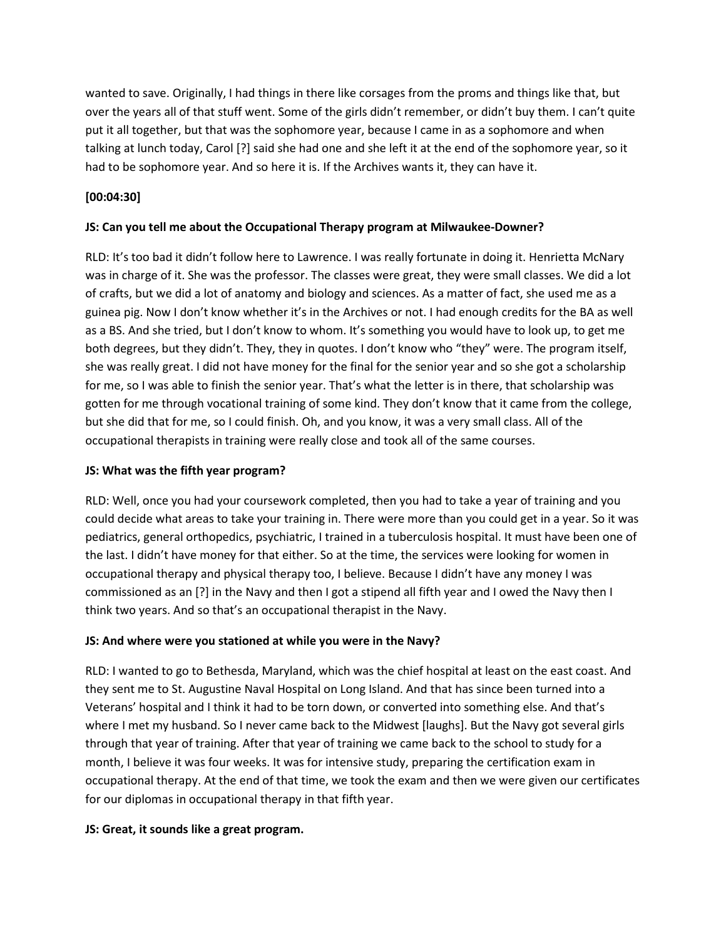wanted to save. Originally, I had things in there like corsages from the proms and things like that, but over the years all of that stuff went. Some of the girls didn't remember, or didn't buy them. I can't quite put it all together, but that was the sophomore year, because I came in as a sophomore and when talking at lunch today, Carol [?] said she had one and she left it at the end of the sophomore year, so it had to be sophomore year. And so here it is. If the Archives wants it, they can have it.

## **[00:04:30]**

### **JS: Can you tell me about the Occupational Therapy program at Milwaukee-Downer?**

RLD: It's too bad it didn't follow here to Lawrence. I was really fortunate in doing it. Henrietta McNary was in charge of it. She was the professor. The classes were great, they were small classes. We did a lot of crafts, but we did a lot of anatomy and biology and sciences. As a matter of fact, she used me as a guinea pig. Now I don't know whether it's in the Archives or not. I had enough credits for the BA as well as a BS. And she tried, but I don't know to whom. It's something you would have to look up, to get me both degrees, but they didn't. They, they in quotes. I don't know who "they" were. The program itself, she was really great. I did not have money for the final for the senior year and so she got a scholarship for me, so I was able to finish the senior year. That's what the letter is in there, that scholarship was gotten for me through vocational training of some kind. They don't know that it came from the college, but she did that for me, so I could finish. Oh, and you know, it was a very small class. All of the occupational therapists in training were really close and took all of the same courses.

#### **JS: What was the fifth year program?**

RLD: Well, once you had your coursework completed, then you had to take a year of training and you could decide what areas to take your training in. There were more than you could get in a year. So it was pediatrics, general orthopedics, psychiatric, I trained in a tuberculosis hospital. It must have been one of the last. I didn't have money for that either. So at the time, the services were looking for women in occupational therapy and physical therapy too, I believe. Because I didn't have any money I was commissioned as an [?] in the Navy and then I got a stipend all fifth year and I owed the Navy then I think two years. And so that's an occupational therapist in the Navy.

#### **JS: And where were you stationed at while you were in the Navy?**

RLD: I wanted to go to Bethesda, Maryland, which was the chief hospital at least on the east coast. And they sent me to St. Augustine Naval Hospital on Long Island. And that has since been turned into a Veterans' hospital and I think it had to be torn down, or converted into something else. And that's where I met my husband. So I never came back to the Midwest [laughs]. But the Navy got several girls through that year of training. After that year of training we came back to the school to study for a month, I believe it was four weeks. It was for intensive study, preparing the certification exam in occupational therapy. At the end of that time, we took the exam and then we were given our certificates for our diplomas in occupational therapy in that fifth year.

#### **JS: Great, it sounds like a great program.**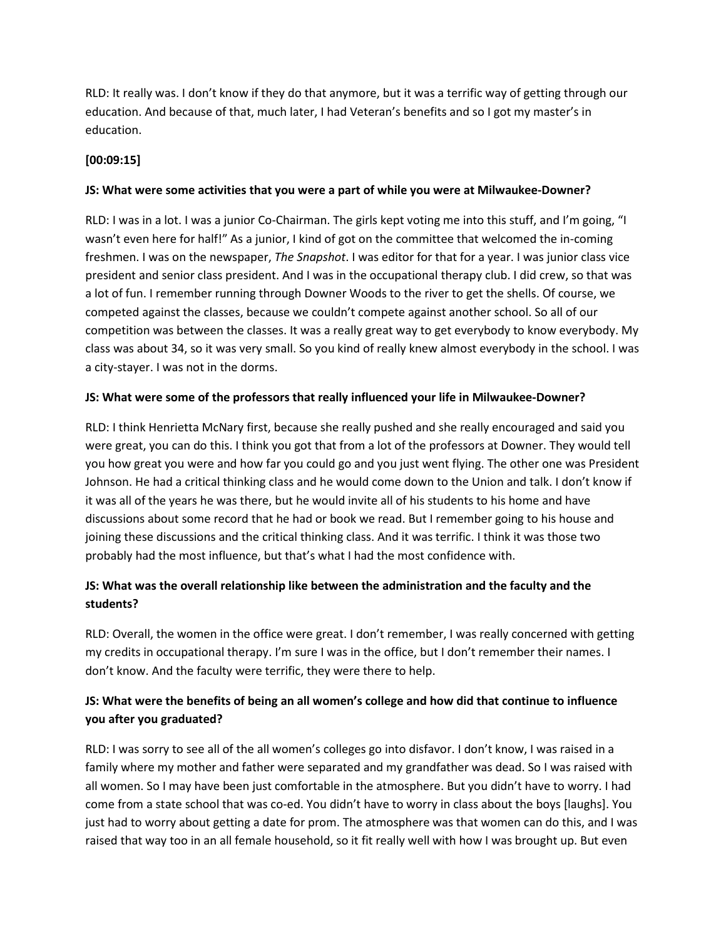RLD: It really was. I don't know if they do that anymore, but it was a terrific way of getting through our education. And because of that, much later, I had Veteran's benefits and so I got my master's in education.

# **[00:09:15]**

### **JS: What were some activities that you were a part of while you were at Milwaukee-Downer?**

RLD: I was in a lot. I was a junior Co-Chairman. The girls kept voting me into this stuff, and I'm going, "I wasn't even here for half!" As a junior, I kind of got on the committee that welcomed the in-coming freshmen. I was on the newspaper, *The Snapshot*. I was editor for that for a year. I was junior class vice president and senior class president. And I was in the occupational therapy club. I did crew, so that was a lot of fun. I remember running through Downer Woods to the river to get the shells. Of course, we competed against the classes, because we couldn't compete against another school. So all of our competition was between the classes. It was a really great way to get everybody to know everybody. My class was about 34, so it was very small. So you kind of really knew almost everybody in the school. I was a city-stayer. I was not in the dorms.

### **JS: What were some of the professors that really influenced your life in Milwaukee-Downer?**

RLD: I think Henrietta McNary first, because she really pushed and she really encouraged and said you were great, you can do this. I think you got that from a lot of the professors at Downer. They would tell you how great you were and how far you could go and you just went flying. The other one was President Johnson. He had a critical thinking class and he would come down to the Union and talk. I don't know if it was all of the years he was there, but he would invite all of his students to his home and have discussions about some record that he had or book we read. But I remember going to his house and joining these discussions and the critical thinking class. And it was terrific. I think it was those two probably had the most influence, but that's what I had the most confidence with.

# **JS: What was the overall relationship like between the administration and the faculty and the students?**

RLD: Overall, the women in the office were great. I don't remember, I was really concerned with getting my credits in occupational therapy. I'm sure I was in the office, but I don't remember their names. I don't know. And the faculty were terrific, they were there to help.

# **JS: What were the benefits of being an all women's college and how did that continue to influence you after you graduated?**

RLD: I was sorry to see all of the all women's colleges go into disfavor. I don't know, I was raised in a family where my mother and father were separated and my grandfather was dead. So I was raised with all women. So I may have been just comfortable in the atmosphere. But you didn't have to worry. I had come from a state school that was co-ed. You didn't have to worry in class about the boys [laughs]. You just had to worry about getting a date for prom. The atmosphere was that women can do this, and I was raised that way too in an all female household, so it fit really well with how I was brought up. But even